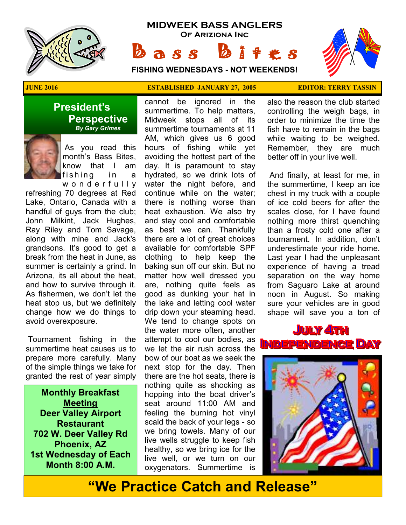

# **MIDWEEK BASS ANGLERS Of Ariziona Inc**

 $\alpha s s$   $\beta$ 

**FISHING WEDNESDAYS - NOT WEEKENDS!**



**President's Perspective**   *By Gary Grimes*

> As you read this month's Bass Bites, know that I am fishing in a w o n d e r f u l l y

refreshing 70 degrees at Red Lake, Ontario, Canada with a handful of guys from the club; John Milkint, Jack Hughes, Ray Riley and Tom Savage, along with mine and Jack's grandsons. It's good to get a break from the heat in June, as summer is certainly a grind. In Arizona, its all about the heat, and how to survive through it. As fishermen, we don't let the heat stop us, but we definitely change how we do things to avoid overexposure.

 Tournament fishing in the summertime heat causes us to prepare more carefully. Many of the simple things we take for granted the rest of year simply

**Monthly Breakfast Meeting Deer Valley Airport Restaurant 702 W. Deer Valley Rd Phoenix, AZ 1st Wednesday of Each Month 8:00 A.M.** 

#### **JUNE 2016 ESTABLISHED JANUARY 27, 2005 EDITOR: TERRY TASSIN**

cannot be ignored in the summertime. To help matters, Midweek stops all of its summertime tournaments at 11 AM, which gives us 6 good hours of fishing while yet avoiding the hottest part of the day. It is paramount to stay hydrated, so we drink lots of water the night before, and continue while on the water; there is nothing worse than heat exhaustion. We also try and stay cool and comfortable as best we can. Thankfully there are a lot of great choices available for comfortable SPF clothing to help keep the baking sun off our skin. But no matter how well dressed you are, nothing quite feels as good as dunking your hat in the lake and letting cool water drip down your steaming head. We tend to change spots on the water more often, another attempt to cool our bodies, as we let the air rush across the bow of our boat as we seek the next stop for the day. Then there are the hot seats, there is nothing quite as shocking as hopping into the boat driver's seat around 11:00 AM and feeling the burning hot vinyl scald the back of your legs - so we bring towels. Many of our live wells struggle to keep fish healthy, so we bring ice for the live well, or we turn on our oxygenators. Summertime is

also the reason the club started controlling the weigh bags, in order to minimize the time the fish have to remain in the bags while waiting to be weighed. Remember, they are much better off in your live well.

 And finally, at least for me, in the summertime, I keep an ice chest in my truck with a couple of ice cold beers for after the scales close, for I have found nothing more thirst quenching than a frosty cold one after a tournament. In addition, don't underestimate your ride home. Last year I had the unpleasant experience of having a tread separation on the way home from Saguaro Lake at around noon in August. So making sure your vehicles are in good shape will save you a ton of





# **"We Practice Catch and Release"**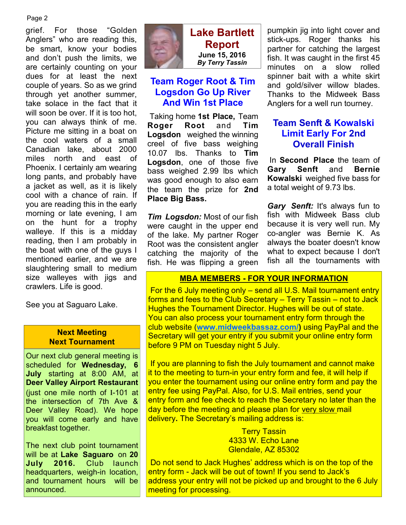#### Page 2

grief. For those "Golden Anglers" who are reading this, be smart, know your bodies and don't push the limits, we are certainly counting on your dues for at least the next couple of years. So as we grind through yet another summer, take solace in the fact that it will soon be over. If it is too hot, you can always think of me. Picture me sitting in a boat on the cool waters of a small Canadian lake, about 2000 miles north and east of Phoenix. I certainly am wearing long pants, and probably have a jacket as well, as it is likely cool with a chance of rain. If you are reading this in the early morning or late evening, I am on the hunt for a trophy walleye. If this is a midday reading, then I am probably in the boat with one of the guys I mentioned earlier, and we are slaughtering small to medium size walleyes with jigs and crawlers. Life is good.

See you at Saguaro Lake.

#### **Next Meeting Next Tournament**

Our next club general meeting is scheduled for **Wednesday, 6 July** starting at 8:00 AM, at **Deer Valley Airport Restaurant**  (just one mile north of I-101 at the intersection of 7th Ave & Deer Valley Road). We hope you will come early and have breakfast together.

The next club point tournament will be at **Lake Saguaro** on **20 July 2016.** Club launch headquarters, weigh-in location, and tournament hours will be announced.



**Lake Bartlett Report June 15, 2016**  *By Terry Tassin* 

# **Team Roger Root & Tim Logsdon Go Up River And Win 1st Place**

 Taking home **1st Place,** Team **Roger Root** and **Tim Logsdon** weighed the winning creel of five bass weighing 10.07 lbs. Thanks to **Tim Logsdon**, one of those five bass weighed 2.99 lbs which was good enough to also earn the team the prize for **2nd Place Big Bass.** 

*Tim Logsdon:* Most of our fish were caught in the upper end of the lake. My partner Roger Root was the consistent angler catching the majority of the fish. He was flipping a green pumpkin jig into light cover and stick-ups. Roger thanks his partner for catching the largest fish. It was caught in the first 45 minutes on a slow rolled spinner bait with a white skirt and gold/silver willow blades. Thanks to the Midweek Bass Anglers for a well run tourney.

# **Team Senft & Kowalski Limit Early For 2nd Overall Finish**

 In **Second Place** the team of **Gary Senft** and **Bernie Kowalski** weighed five bass for a total weight of 9.73 lbs.

*Gary Senft:* It's always fun to fish with Midweek Bass club because it is very well run. My co-angler was Bernie K. As always the boater doesn't know what to expect because I don't fish all the tournaments with

#### **MBA MEMBERS - FOR YOUR INFORMATION**

 For the 6 July meeting only – send all U.S. Mail tournament entry forms and fees to the Club Secretary – Terry Tassin – not to Jack Hughes the Tournament Director. Hughes will be out of state. You can also process your tournament entry form through the club website (**www.midweekbassaz.com/)** using PayPal and the Secretary will get your entry if you submit your online entry form before 9 PM on Tuesday night 5 July.

 If you are planning to fish the July tournament and cannot make it to the meeting to turn-in your entry form and fee, it will help if you enter the tournament using our online entry form and pay the entry fee using PayPal. Also, for U.S. Mail entries, send your entry form and fee check to reach the Secretary no later than the day before the meeting and please plan for very slow mail delivery**.** The Secretary's mailing address is:

> **Terry Tassin** 4333 W. Echo Lane Glendale, AZ 85302

 Do not send to Jack Hughes' address which is on the top of the entry form - Jack will be out of town! If you send to Jack's address your entry will not be picked up and brought to the 6 July meeting for processing.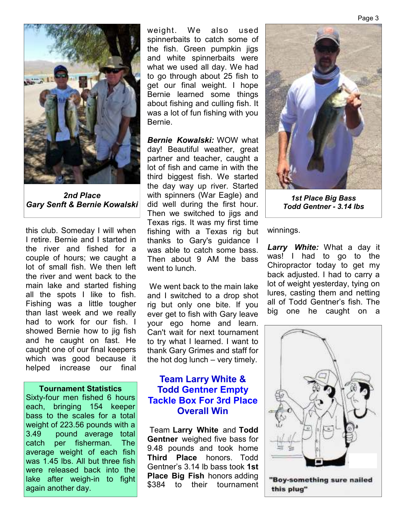

*2nd Place Gary Senft & Bernie Kowalski* 

this club. Someday I will when I retire. Bernie and I started in the river and fished for a couple of hours; we caught a lot of small fish. We then left the river and went back to the main lake and started fishing all the spots I like to fish. Fishing was a little tougher than last week and we really had to work for our fish. I showed Bernie how to jig fish and he caught on fast. He caught one of our final keepers which was good because it helped increase our final

#### **Tournament Statistics**

Sixty-four men fished 6 hours each, bringing 154 keeper bass to the scales for a total weight of 223.56 pounds with a 3.49 pound average total catch per fisherman. The average weight of each fish was 1.45 lbs. All but three fish were released back into the lake after weigh-in to fight again another day.

weight. We also used spinnerbaits to catch some of the fish. Green pumpkin jigs and white spinnerbaits were what we used all day. We had to go through about 25 fish to get our final weight. I hope Bernie learned some things about fishing and culling fish. It was a lot of fun fishing with you Bernie.

*Bernie Kowalski:* WOW what day! Beautiful weather, great partner and teacher, caught a lot of fish and came in with the third biggest fish. We started the day way up river. Started with spinners (War Eagle) and did well during the first hour. Then we switched to jigs and Texas rigs. It was my first time fishing with a Texas rig but thanks to Gary's guidance I was able to catch some bass. Then about 9 AM the bass went to lunch.

 We went back to the main lake and I switched to a drop shot rig but only one bite. If you ever get to fish with Gary leave your ego home and learn. Can't wait for next tournament to try what I learned. I want to thank Gary Grimes and staff for the hot dog lunch – very timely.

### **Team Larry White & Todd Gentner Empty Tackle Box For 3rd Place Overall Win**

 Team **Larry White** and **Todd Gentner** weighed five bass for 9.48 pounds and took home **Third Place** honors. Todd Gentner's 3.14 lb bass took **1st Place Big Fish** honors adding \$384 to their tournament



*1st Place Big Bass Todd Gentner - 3.14 lbs*

winnings.

*Larry White:* What a day it was! I had to go to the Chiropractor today to get my back adjusted. I had to carry a lot of weight yesterday, tying on lures, casting them and netting all of Todd Gentner's fish. The big one he caught on a

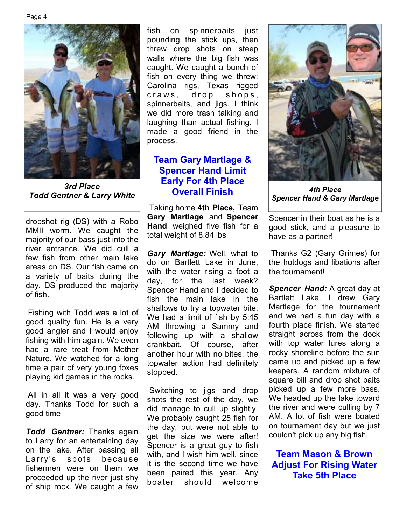

*3rd Place Todd Gentner & Larry White* 

dropshot rig (DS) with a Robo MMII worm. We caught the majority of our bass just into the river entrance. We did cull a few fish from other main lake areas on DS. Our fish came on a variety of baits during the day. DS produced the majority of fish.

 Fishing with Todd was a lot of good quality fun. He is a very good angler and I would enjoy fishing with him again. We even had a rare treat from Mother Nature. We watched for a long time a pair of very young foxes playing kid games in the rocks.

 All in all it was a very good day. Thanks Todd for such a good time

*Todd Gentner:* Thanks again to Larry for an entertaining day on the lake. After passing all Larry's spots because fishermen were on them we proceeded up the river just shy of ship rock. We caught a few

fish on spinnerbaits just pounding the stick ups, then threw drop shots on steep walls where the big fish was caught. We caught a bunch of fish on every thing we threw: Carolina rigs, Texas rigged craws, drop shops, spinnerbaits, and jigs. I think we did more trash talking and laughing than actual fishing. I made a good friend in the process.

# **Team Gary Martlage & Spencer Hand Limit Early For 4th Place Overall Finish**

 Taking home **4th Place,** Team **Gary Martlage** and **Spencer Hand** weighed five fish for a total weight of 8.84 lbs

*Gary Martlage:* Well, what to do on Bartlett Lake in June, with the water rising a foot a day, for the last week? Spencer Hand and I decided to fish the main lake in the shallows to try a topwater bite. We had a limit of fish by 5:45 AM throwing a Sammy and following up with a shallow crankbait. Of course, after another hour with no bites, the topwater action had definitely stopped.

 Switching to jigs and drop shots the rest of the day, we did manage to cull up slightly. We probably caught 25 fish for the day, but were not able to get the size we were after! Spencer is a great guy to fish with, and I wish him well, since it is the second time we have been paired this year. Any boater should welcome



*4th Place Spencer Hand & Gary Martlage* 

Spencer in their boat as he is a good stick, and a pleasure to have as a partner!

 Thanks G2 (Gary Grimes) for the hotdogs and libations after the tournament!

*Spencer Hand:* A great day at Bartlett Lake. I drew Gary Martlage for the tournament and we had a fun day with a fourth place finish. We started straight across from the dock with top water lures along a rocky shoreline before the sun came up and picked up a few keepers. A random mixture of square bill and drop shot baits picked up a few more bass. We headed up the lake toward the river and were culling by 7 AM. A lot of fish were boated on tournament day but we just couldn't pick up any big fish.

**Team Mason & Brown Adjust For Rising Water Take 5th Place**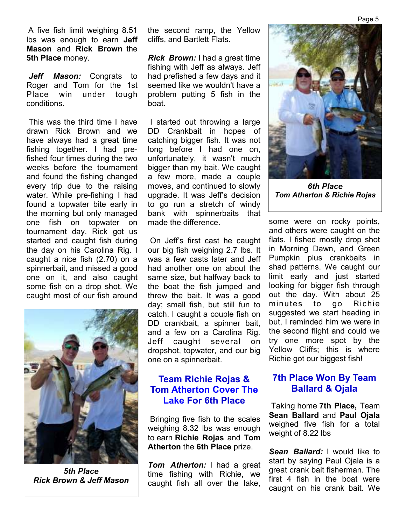A five fish limit weighing 8.51 lbs was enough to earn **Jeff Mason** and **Rick Brown** the **5th Place** money.

*Jeff Mason:* Congrats to Roger and Tom for the 1st Place win under tough conditions.

 This was the third time I have drawn Rick Brown and we have always had a great time fishing together. I had prefished four times during the two weeks before the tournament and found the fishing changed every trip due to the raising water. While pre-fishing I had found a topwater bite early in the morning but only managed one fish on topwater on tournament day. Rick got us started and caught fish during the day on his Carolina Rig. I caught a nice fish (2.70) on a spinnerbait, and missed a good one on it, and also caught some fish on a drop shot. We caught most of our fish around



*5th Place Rick Brown & Jeff Mason* 

the second ramp, the Yellow cliffs, and Bartlett Flats.

*Rick Brown:* I had a great time fishing with Jeff as always. Jeff had prefished a few days and it seemed like we wouldn't have a problem putting 5 fish in the boat.

 I started out throwing a large DD Crankbait in hopes of catching bigger fish. It was not long before I had one on, unfortunately, it wasn't much bigger than my bait. We caught a few more, made a couple moves, and continued to slowly upgrade. It was Jeff's decision to go run a stretch of windy bank with spinnerbaits that made the difference.

 On Jeff's first cast he caught our big fish weighing 2.7 lbs. It was a few casts later and Jeff had another one on about the same size, but halfway back to the boat the fish jumped and threw the bait. It was a good day; small fish, but still fun to catch. I caught a couple fish on DD crankbait, a spinner bait, and a few on a Carolina Rig. Jeff caught several on dropshot, topwater, and our big one on a spinnerbait.

# **Team Richie Rojas & Tom Atherton Cover The Lake For 6th Place**

 Bringing five fish to the scales weighing 8.32 lbs was enough to earn **Richie Rojas** and **Tom Atherton** the **6th Place** prize.

*Tom Atherton:* I had a great time fishing with Richie, we caught fish all over the lake,



*6th Place Tom Atherton & Richie Rojas*

some were on rocky points, and others were caught on the flats. I fished mostly drop shot in Morning Dawn, and Green Pumpkin plus crankbaits in shad patterns. We caught our limit early and just started looking for bigger fish through out the day. With about 25 minutes to go Richie suggested we start heading in but, I reminded him we were in the second flight and could we try one more spot by the Yellow Cliffs; this is where Richie got our biggest fish!

# **7th Place Won By Team Ballard & Ojala**

 Taking home **7th Place,** Team **Sean Ballard** and **Paul Ojala**  weighed five fish for a total weight of 8.22 lbs

*Sean Ballard:* I would like to start by saying Paul Ojala is a great crank bait fisherman. The first 4 fish in the boat were caught on his crank bait. We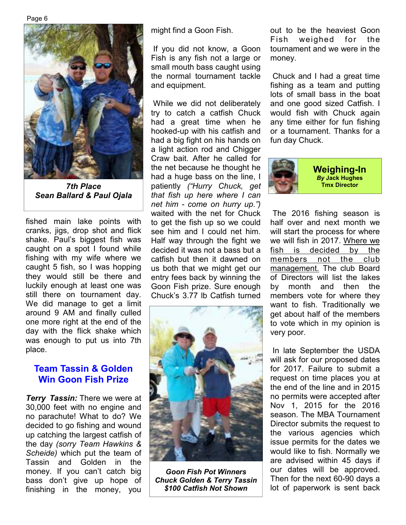

*Sean Ballard & Paul Ojala* 

fished main lake points with cranks, jigs, drop shot and flick shake. Paul's biggest fish was caught on a spot I found while fishing with my wife where we caught 5 fish, so I was hopping they would still be there and luckily enough at least one was still there on tournament day. We did manage to get a limit around 9 AM and finally culled one more right at the end of the day with the flick shake which was enough to put us into 7th place.

# **Team Tassin & Golden Win Goon Fish Prize**

*Terry Tassin:* There we were at 30,000 feet with no engine and no parachute! What to do? We decided to go fishing and wound up catching the largest catfish of the day *(sorry Team Hawkins & Scheide)* which put the team of Tassin and Golden in the money. If you can't catch big bass don't give up hope of finishing in the money, you

might find a Goon Fish.

 If you did not know, a Goon Fish is any fish not a large or small mouth bass caught using the normal tournament tackle and equipment.

 While we did not deliberately try to catch a catfish Chuck had a great time when he hooked-up with his catfish and had a big fight on his hands on a light action rod and Chigger Craw bait. After he called for the net because he thought he had a huge bass on the line, I patiently *("Hurry Chuck, get 7th Place* **Tmx Director** *that fish up here where I can net him - come on hurry up.")* waited with the net for Chuck to get the fish up so we could see him and I could net him. Half way through the fight we decided it was not a bass but a catfish but then it dawned on us both that we might get our entry fees back by winning the Goon Fish prize. Sure enough Chuck's 3.77 lb Catfish turned



*Goon Fish Pot Winners Chuck Golden & Terry Tassin \$100 Catfish Not Shown*

out to be the heaviest Goon Fish weighed for the tournament and we were in the money.

 Chuck and I had a great time fishing as a team and putting lots of small bass in the boat and one good sized Catfish. I would fish with Chuck again any time either for fun fishing or a tournament. Thanks for a fun day Chuck.



 The 2016 fishing season is half over and next month we will start the process for where we will fish in 2017. Where we fish is decided by the members not the club management. The club Board of Directors will list the lakes by month and then the members vote for where they want to fish. Traditionally we get about half of the members to vote which in my opinion is very poor.

 In late September the USDA will ask for our proposed dates for 2017. Failure to submit a request on time places you at the end of the line and in 2015 no permits were accepted after Nov 1, 2015 for the 2016 season. The MBA Tournament Director submits the request to the various agencies which issue permits for the dates we would like to fish. Normally we are advised within 45 days if our dates will be approved. Then for the next 60-90 days a lot of paperwork is sent back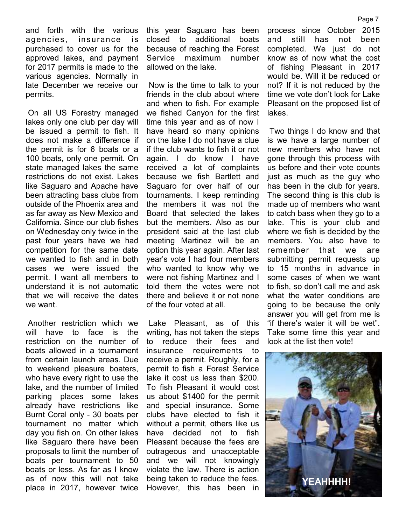and forth with the various agencies, insurance is purchased to cover us for the approved lakes, and payment for 2017 permits is made to the various agencies. Normally in late December we receive our permits.

 On all US Forestry managed lakes only one club per day will be issued a permit to fish. It does not make a difference if the permit is for 6 boats or a 100 boats, only one permit. On state managed lakes the same restrictions do not exist. Lakes like Saguaro and Apache have been attracting bass clubs from outside of the Phoenix area and as far away as New Mexico and California. Since our club fishes on Wednesday only twice in the past four years have we had competition for the same date we wanted to fish and in both cases we were issued the permit. I want all members to understand it is not automatic that we will receive the dates we want.

 Another restriction which we will have to face is the restriction on the number of boats allowed in a tournament from certain launch areas. Due to weekend pleasure boaters, who have every right to use the lake, and the number of limited parking places some lakes already have restrictions like Burnt Coral only - 30 boats per tournament no matter which day you fish on. On other lakes like Saguaro there have been proposals to limit the number of boats per tournament to 50 boats or less. As far as I know as of now this will not take place in 2017, however twice

this year Saguaro has been closed to additional boats because of reaching the Forest Service maximum number allowed on the lake.

 Now is the time to talk to your friends in the club about where and when to fish. For example we fished Canyon for the first time this year and as of now I have heard so many opinions on the lake I do not have a clue if the club wants to fish it or not again. I do know I have received a lot of complaints because we fish Bartlett and Saguaro for over half of our tournaments. I keep reminding the members it was not the Board that selected the lakes but the members. Also as our president said at the last club meeting Martinez will be an option this year again. After last year's vote I had four members who wanted to know why we were not fishing Martinez and I told them the votes were not there and believe it or not none of the four voted at all.

 Lake Pleasant, as of this writing, has not taken the steps to reduce their fees and insurance requirements to receive a permit. Roughly, for a permit to fish a Forest Service lake it cost us less than \$200. To fish Pleasant it would cost us about \$1400 for the permit and special insurance. Some clubs have elected to fish it without a permit, others like us have decided not to fish Pleasant because the fees are outrageous and unacceptable and we will not knowingly violate the law. There is action being taken to reduce the fees. However, this has been in

process since October 2015 and still has not been completed. We just do not know as of now what the cost of fishing Pleasant in 2017 would be. Will it be reduced or not? If it is not reduced by the time we vote don't look for Lake Pleasant on the proposed list of lakes.

 Two things I do know and that is we have a large number of new members who have not gone through this process with us before and their vote counts just as much as the guy who has been in the club for years. The second thing is this club is made up of members who want to catch bass when they go to a lake. This is your club and where we fish is decided by the members. You also have to remember that we are submitting permit requests up to 15 months in advance in some cases of when we want to fish, so don't call me and ask what the water conditions are going to be because the only answer you will get from me is "if there's water it will be wet". Take some time this year and look at the list then vote!